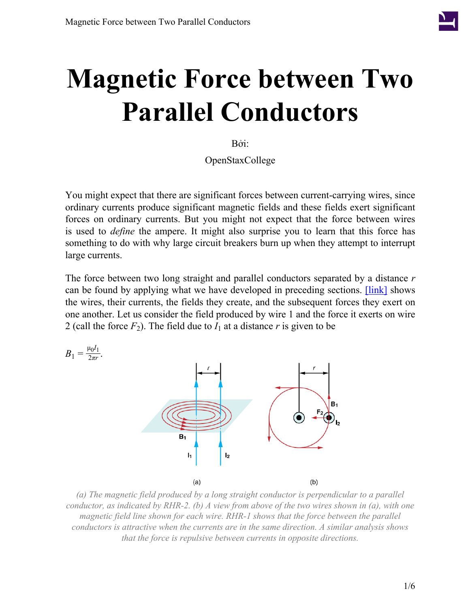

# **Magnetic Force between Two Parallel Conductors**

Bởi:

OpenStaxCollege

You might expect that there are significant forces between current-carrying wires, since ordinary currents produce significant magnetic fields and these fields exert significant forces on ordinary currents. But you might not expect that the force between wires is used to *define* the ampere. It might also surprise you to learn that this force has something to do with why large circuit breakers burn up when they attempt to interrupt large currents.

The force between two long straight and parallel conductors separated by a distance *r* can be found by applying what we have developed in preceding sections. **[\[link\]](#page-0-0)** shows the wires, their currents, the fields they create, and the subsequent forces they exert on one another. Let us consider the field produced by wire 1 and the force it exerts on wire 2 (call the force  $F_2$ ). The field due to  $I_1$  at a distance r is given to be

<span id="page-0-0"></span>

*(a) The magnetic field produced by a long straight conductor is perpendicular to a parallel conductor, as indicated by RHR-2. (b) A view from above of the two wires shown in (a), with one magnetic field line shown for each wire. RHR-1 shows that the force between the parallel conductors is attractive when the currents are in the same direction. A similar analysis shows that the force is repulsive between currents in opposite directions.*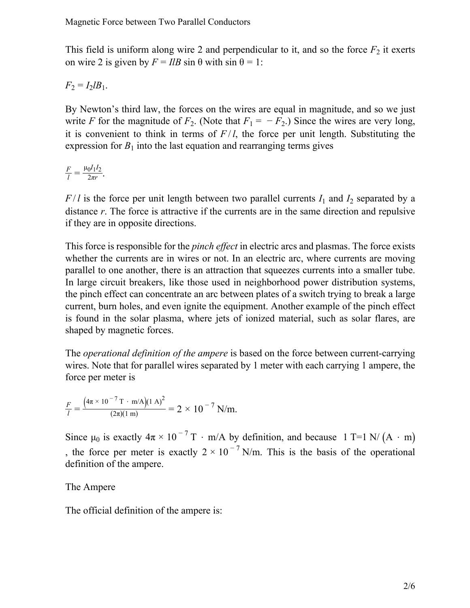This field is uniform along wire 2 and perpendicular to it, and so the force  $F_2$  it exerts on wire 2 is given by  $F = IlB \sin \theta$  with  $\sin \theta = 1$ :

 $F_2 = I_2 I B_1$ .

By Newton's third law, the forces on the wires are equal in magnitude, and so we just write *F* for the magnitude of  $F_2$ . (Note that  $F_1 = -F_2$ .) Since the wires are very long, it is convenient to think in terms of  $F/l$ , the force per unit length. Substituting the expression for  $B_1$  into the last equation and rearranging terms gives

$$
\frac{F}{l} = \frac{\mu_0 I_1 I_2}{2\pi r}.
$$

 $F/l$  is the force per unit length between two parallel currents  $I_1$  and  $I_2$  separated by a distance *r*. The force is attractive if the currents are in the same direction and repulsive if they are in opposite directions.

This force is responsible for the *pinch effect* in electric arcs and plasmas. The force exists whether the currents are in wires or not. In an electric arc, where currents are moving parallel to one another, there is an attraction that squeezes currents into a smaller tube. In large circuit breakers, like those used in neighborhood power distribution systems, the pinch effect can concentrate an arc between plates of a switch trying to break a large current, burn holes, and even ignite the equipment. Another example of the pinch effect is found in the solar plasma, where jets of ionized material, such as solar flares, are shaped by magnetic forces.

The *operational definition of the ampere* is based on the force between current-carrying wires. Note that for parallel wires separated by 1 meter with each carrying 1 ampere, the force per meter is

$$
\frac{F}{l} = \frac{(4\pi \times 10^{-7} \text{ T} \cdot \text{m/A})(1 \text{ A})^2}{(2\pi)(1 \text{ m})} = 2 \times 10^{-7} \text{ N/m}.
$$

Since  $\mu_0$  is exactly  $4\pi \times 10^{-7}$  T · m/A by definition, and because 1 T=1 N/ (A · m) , the force per meter is exactly  $2 \times 10^{-7}$  N/m. This is the basis of the operational definition of the ampere.

#### The Ampere

The official definition of the ampere is: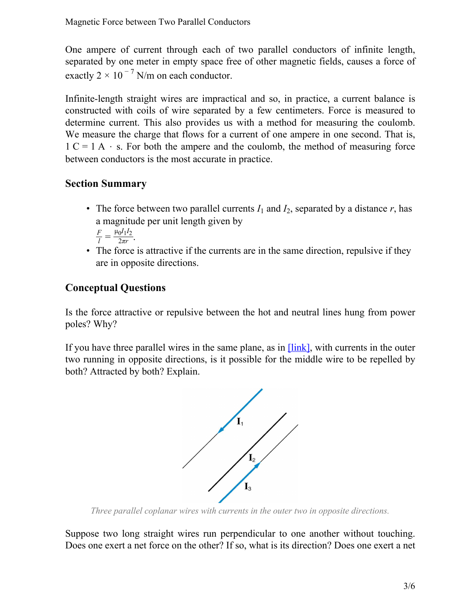One ampere of current through each of two parallel conductors of infinite length, separated by one meter in empty space free of other magnetic fields, causes a force of exactly  $2 \times 10^{-7}$  N/m on each conductor.

Infinite-length straight wires are impractical and so, in practice, a current balance is constructed with coils of wire separated by a few centimeters. Force is measured to determine current. This also provides us with a method for measuring the coulomb. We measure the charge that flows for a current of one ampere in one second. That is,  $1 C = 1 A \cdot s$ . For both the ampere and the coulomb, the method of measuring force between conductors is the most accurate in practice.

### **Section Summary**

- The force between two parallel currents  $I_1$  and  $I_2$ , separated by a distance  $r$ , has a magnitude per unit length given by *F*  $\frac{\mu_0 I_1 I_2}{2\pi r}$ 2*πr* .
- The force is attractive if the currents are in the same direction, repulsive if they are in opposite directions.

## **Conceptual Questions**

Is the force attractive or repulsive between the hot and neutral lines hung from power poles? Why?

<span id="page-2-0"></span>If you have three parallel wires in the same plane, as in  $[\text{link}]$ , with currents in the outer two running in opposite directions, is it possible for the middle wire to be repelled by both? Attracted by both? Explain.



*Three parallel coplanar wires with currents in the outer two in opposite directions.*

Suppose two long straight wires run perpendicular to one another without touching. Does one exert a net force on the other? If so, what is its direction? Does one exert a net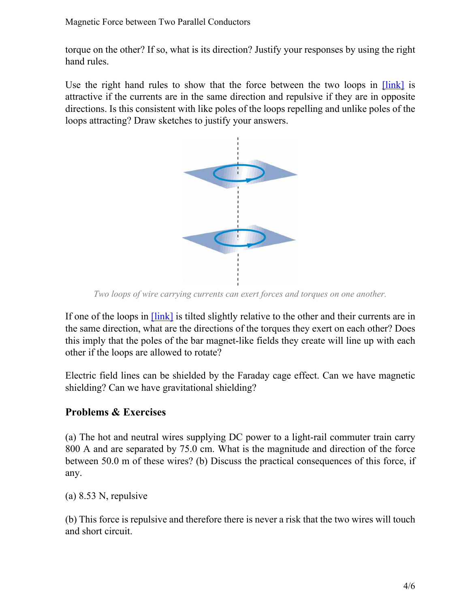torque on the other? If so, what is its direction? Justify your responses by using the right hand rules.

<span id="page-3-0"></span>Use the right hand rules to show that the force between the two loops in [\[link\]](#page-3-0) is attractive if the currents are in the same direction and repulsive if they are in opposite directions. Is this consistent with like poles of the loops repelling and unlike poles of the loops attracting? Draw sketches to justify your answers.



*Two loops of wire carrying currents can exert forces and torques on one another.*

If one of the loops in  $[\text{link}]$  is tilted slightly relative to the other and their currents are in the same direction, what are the directions of the torques they exert on each other? Does this imply that the poles of the bar magnet-like fields they create will line up with each other if the loops are allowed to rotate?

Electric field lines can be shielded by the Faraday cage effect. Can we have magnetic shielding? Can we have gravitational shielding?

#### **Problems & Exercises**

(a) The hot and neutral wires supplying DC power to a light-rail commuter train carry 800 A and are separated by 75.0 cm. What is the magnitude and direction of the force between 50.0 m of these wires? (b) Discuss the practical consequences of this force, if any.

(a) 8.53 N, repulsive

(b) This force is repulsive and therefore there is never a risk that the two wires will touch and short circuit.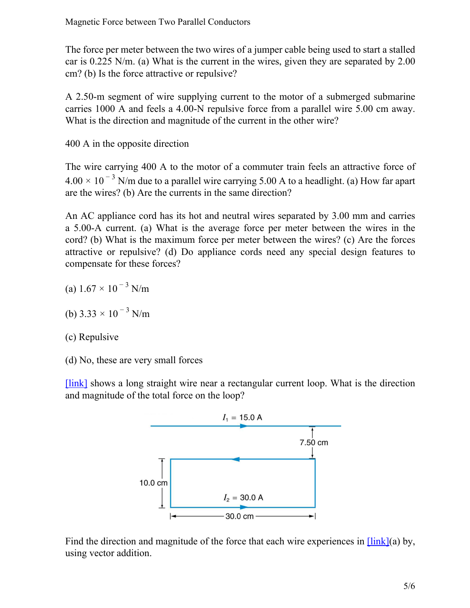The force per meter between the two wires of a jumper cable being used to start a stalled car is 0.225 N/m. (a) What is the current in the wires, given they are separated by 2.00 cm? (b) Is the force attractive or repulsive?

A 2.50-m segment of wire supplying current to the motor of a submerged submarine carries 1000 A and feels a 4.00-N repulsive force from a parallel wire 5.00 cm away. What is the direction and magnitude of the current in the other wire?

400 A in the opposite direction

The wire carrying 400 A to the motor of a commuter train feels an attractive force of  $4.00 \times 10^{-3}$  N/m due to a parallel wire carrying 5.00 A to a headlight. (a) How far apart are the wires? (b) Are the currents in the same direction?

An AC appliance cord has its hot and neutral wires separated by 3.00 mm and carries a 5.00-A current. (a) What is the average force per meter between the wires in the cord? (b) What is the maximum force per meter between the wires? (c) Are the forces attractive or repulsive? (d) Do appliance cords need any special design features to compensate for these forces?

- (a)  $1.67 \times 10^{-3}$  N/m
- (b)  $3.33 \times 10^{-3}$  N/m
- (c) Repulsive
- (d) No, these are very small forces

<span id="page-4-0"></span>[\[link\]](#page-4-0) shows a long straight wire near a rectangular current loop. What is the direction and magnitude of the total force on the loop?



Find the direction and magnitude of the force that each wire experiences in  $\frac{[\text{link}]}{[\text{au}]}$ using vector addition.